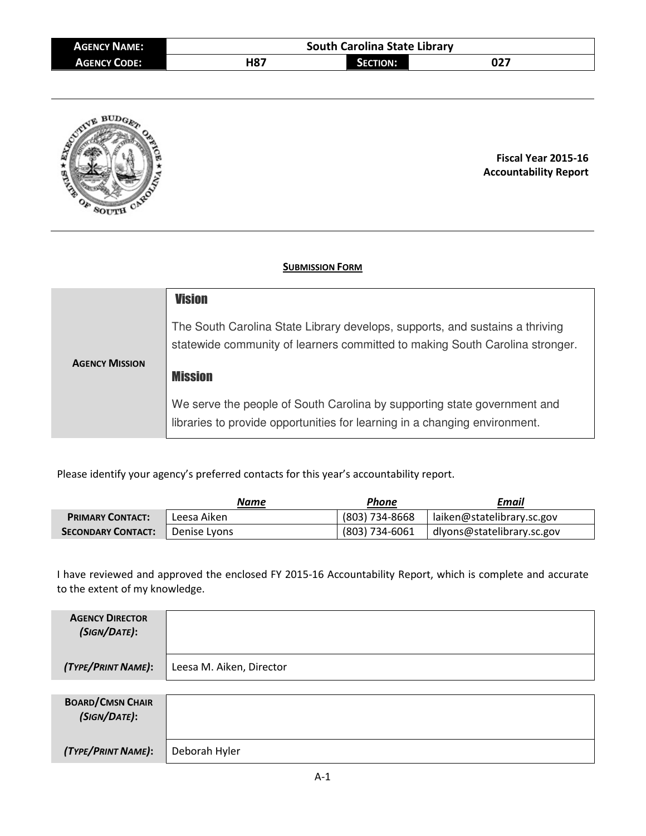| <b>AGENCY NAME:</b> | <b>South Carolina State Library</b> |                 |     |  |  |  |  |  |
|---------------------|-------------------------------------|-----------------|-----|--|--|--|--|--|
| <b>AGENCY CODE:</b> | H87                                 | <b>SECTION:</b> | 027 |  |  |  |  |  |



**Fiscal Year 2015-16 Accountability Report**

## **SUBMISSION FORM**

|                       | <b>Vision</b>                                                                                                                                                |
|-----------------------|--------------------------------------------------------------------------------------------------------------------------------------------------------------|
|                       | The South Carolina State Library develops, supports, and sustains a thriving<br>statewide community of learners committed to making South Carolina stronger. |
| <b>AGENCY MISSION</b> | <b>Mission</b>                                                                                                                                               |
|                       | We serve the people of South Carolina by supporting state government and<br>libraries to provide opportunities for learning in a changing environment.       |

Please identify your agency's preferred contacts for this year's accountability report.

|                                        | Name        | Phone          | Email                      |
|----------------------------------------|-------------|----------------|----------------------------|
| <b>PRIMARY CONTACT:</b>                | Leesa Aiken | (803) 734-8668 | laiken@statelibrary.sc.gov |
| <b>SECONDARY CONTACT:</b> Denise Lyons |             | (803) 734-6061 | dlyons@statelibrary.sc.gov |

I have reviewed and approved the enclosed FY 2015-16 Accountability Report, which is complete and accurate to the extent of my knowledge.

| <b>AGENCY DIRECTOR</b><br>(SIGN/DATE):  |                          |
|-----------------------------------------|--------------------------|
| (TYPE/PRINT NAME):                      | Leesa M. Aiken, Director |
|                                         |                          |
| <b>BOARD/CMSN CHAIR</b><br>(SIGN/DATE): |                          |
| (TYPE/PRINT NAME):                      | Deborah Hyler            |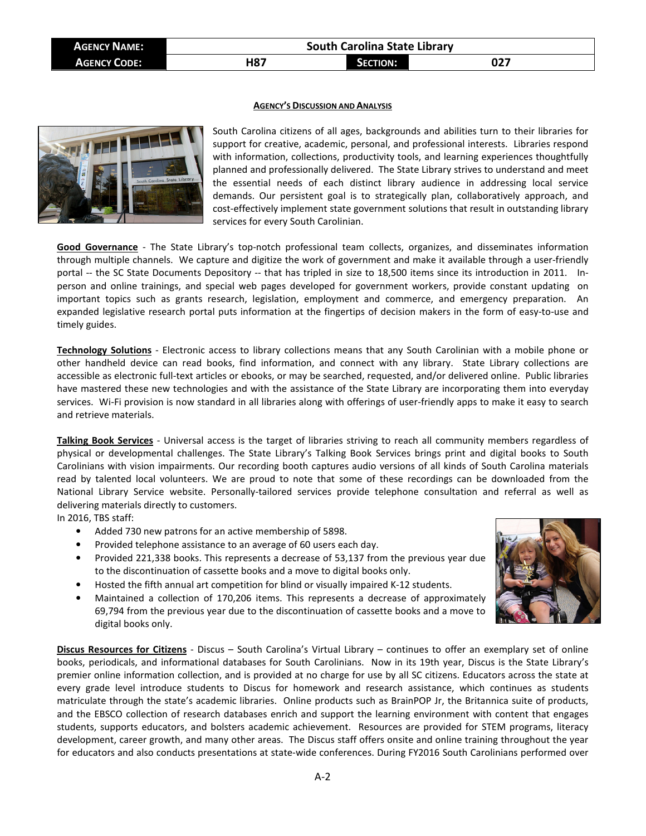| <b>AGENCY NAME:</b> | <b>South Carolina State Library</b> |                 |     |  |  |  |  |
|---------------------|-------------------------------------|-----------------|-----|--|--|--|--|
| <b>AGENCY CODE:</b> | H87                                 | <b>SECTION:</b> | 027 |  |  |  |  |

## **AGENCY'S DISCUSSION AND ANALYSIS**



South Carolina citizens of all ages, backgrounds and abilities turn to their libraries for support for creative, academic, personal, and professional interests. Libraries respond with information, collections, productivity tools, and learning experiences thoughtfully planned and professionally delivered. The State Library strives to understand and meet the essential needs of each distinct library audience in addressing local service demands. Our persistent goal is to strategically plan, collaboratively approach, and cost-effectively implement state government solutions that result in outstanding library services for every South Carolinian.

**Good Governance** - The State Library's top-notch professional team collects, organizes, and disseminates information through multiple channels. We capture and digitize the work of government and make it available through a user-friendly portal -- the SC State Documents Depository -- that has tripled in size to 18,500 items since its introduction in 2011. Inperson and online trainings, and special web pages developed for government workers, provide constant updating on important topics such as grants research, legislation, employment and commerce, and emergency preparation. An expanded legislative research portal puts information at the fingertips of decision makers in the form of easy-to-use and timely guides.

**Technology Solutions** - Electronic access to library collections means that any South Carolinian with a mobile phone or other handheld device can read books, find information, and connect with any library. State Library collections are accessible as electronic full-text articles or ebooks, or may be searched, requested, and/or delivered online. Public libraries have mastered these new technologies and with the assistance of the State Library are incorporating them into everyday services. Wi-Fi provision is now standard in all libraries along with offerings of user-friendly apps to make it easy to search and retrieve materials.

**Talking Book Services** - Universal access is the target of libraries striving to reach all community members regardless of physical or developmental challenges. The State Library's Talking Book Services brings print and digital books to South Carolinians with vision impairments. Our recording booth captures audio versions of all kinds of South Carolina materials read by talented local volunteers. We are proud to note that some of these recordings can be downloaded from the National Library Service website. Personally-tailored services provide telephone consultation and referral as well as delivering materials directly to customers.

In 2016, TBS staff:

- Added 730 new patrons for an active membership of 5898.
- Provided telephone assistance to an average of 60 users each day.
- Provided 221,338 books. This represents a decrease of 53,137 from the previous year due to the discontinuation of cassette books and a move to digital books only.
- Hosted the fifth annual art competition for blind or visually impaired K-12 students.
- Maintained a collection of 170,206 items. This represents a decrease of approximately 69,794 from the previous year due to the discontinuation of cassette books and a move to digital books only.

**Discus Resources for Citizens** - Discus – South Carolina's Virtual Library – continues to offer an exemplary set of online books, periodicals, and informational databases for South Carolinians. Now in its 19th year, Discus is the State Library's premier online information collection, and is provided at no charge for use by all SC citizens. Educators across the state at every grade level introduce students to Discus for homework and research assistance, which continues as students matriculate through the state's academic libraries. Online products such as BrainPOP Jr, the Britannica suite of products, and the EBSCO collection of research databases enrich and support the learning environment with content that engages students, supports educators, and bolsters academic achievement. Resources are provided for STEM programs, literacy development, career growth, and many other areas. The Discus staff offers onsite and online training throughout the year for educators and also conducts presentations at state-wide conferences. During FY2016 South Carolinians performed over

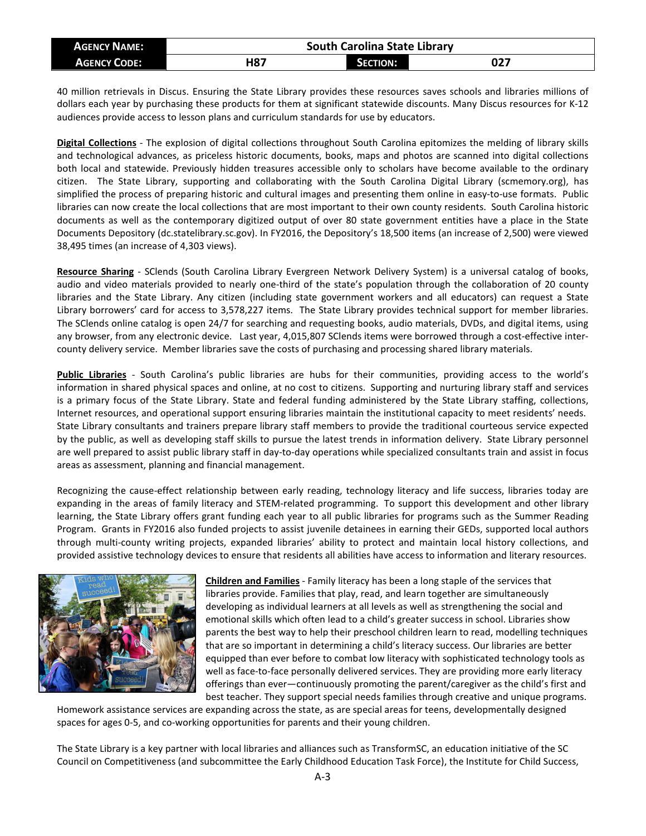| <b>AGENCY NAME:</b> | <b>South Carolina State Library</b> |                 |     |  |  |  |  |  |  |
|---------------------|-------------------------------------|-----------------|-----|--|--|--|--|--|--|
| <b>AGENCY CODE:</b> | H87                                 | <b>SECTION:</b> | 027 |  |  |  |  |  |  |

40 million retrievals in Discus. Ensuring the State Library provides these resources saves schools and libraries millions of dollars each year by purchasing these products for them at significant statewide discounts. Many Discus resources for K-12 audiences provide access to lesson plans and curriculum standards for use by educators.

**Digital Collections** - The explosion of digital collections throughout South Carolina epitomizes the melding of library skills and technological advances, as priceless historic documents, books, maps and photos are scanned into digital collections both local and statewide. Previously hidden treasures accessible only to scholars have become available to the ordinary citizen. The State Library, supporting and collaborating with the South Carolina Digital Library (scmemory.org), has simplified the process of preparing historic and cultural images and presenting them online in easy-to-use formats. Public libraries can now create the local collections that are most important to their own county residents. South Carolina historic documents as well as the contemporary digitized output of over 80 state government entities have a place in the State Documents Depository (dc.statelibrary.sc.gov). In FY2016, the Depository's 18,500 items (an increase of 2,500) were viewed 38,495 times (an increase of 4,303 views).

**Resource Sharing** - SClends (South Carolina Library Evergreen Network Delivery System) is a universal catalog of books, audio and video materials provided to nearly one-third of the state's population through the collaboration of 20 county libraries and the State Library. Any citizen (including state government workers and all educators) can request a State Library borrowers' card for access to 3,578,227 items. The State Library provides technical support for member libraries. The SClends online catalog is open 24/7 for searching and requesting books, audio materials, DVDs, and digital items, using any browser, from any electronic device. Last year, 4,015,807 SClends items were borrowed through a cost-effective intercounty delivery service. Member libraries save the costs of purchasing and processing shared library materials.

**Public Libraries** - South Carolina's public libraries are hubs for their communities, providing access to the world's information in shared physical spaces and online, at no cost to citizens. Supporting and nurturing library staff and services is a primary focus of the State Library. State and federal funding administered by the State Library staffing, collections, Internet resources, and operational support ensuring libraries maintain the institutional capacity to meet residents' needs. State Library consultants and trainers prepare library staff members to provide the traditional courteous service expected by the public, as well as developing staff skills to pursue the latest trends in information delivery. State Library personnel are well prepared to assist public library staff in day-to-day operations while specialized consultants train and assist in focus areas as assessment, planning and financial management.

Recognizing the cause-effect relationship between early reading, technology literacy and life success, libraries today are expanding in the areas of family literacy and STEM-related programming. To support this development and other library learning, the State Library offers grant funding each year to all public libraries for programs such as the Summer Reading Program. Grants in FY2016 also funded projects to assist juvenile detainees in earning their GEDs, supported local authors through multi-county writing projects, expanded libraries' ability to protect and maintain local history collections, and provided assistive technology devices to ensure that residents all abilities have access to information and literary resources.



**Children and Families** - Family literacy has been a long staple of the services that libraries provide. Families that play, read, and learn together are simultaneously developing as individual learners at all levels as well as strengthening the social and emotional skills which often lead to a child's greater success in school. Libraries show parents the best way to help their preschool children learn to read, modelling techniques that are so important in determining a child's literacy success. Our libraries are better equipped than ever before to combat low literacy with sophisticated technology tools as well as face-to-face personally delivered services. They are providing more early literacy offerings than ever—continuously promoting the parent/caregiver as the child's first and best teacher. They support special needs families through creative and unique programs.

Homework assistance services are expanding across the state, as are special areas for teens, developmentally designed spaces for ages 0-5, and co-working opportunities for parents and their young children.

The State Library is a key partner with local libraries and alliances such as TransformSC, an education initiative of the SC Council on Competitiveness (and subcommittee the Early Childhood Education Task Force), the Institute for Child Success,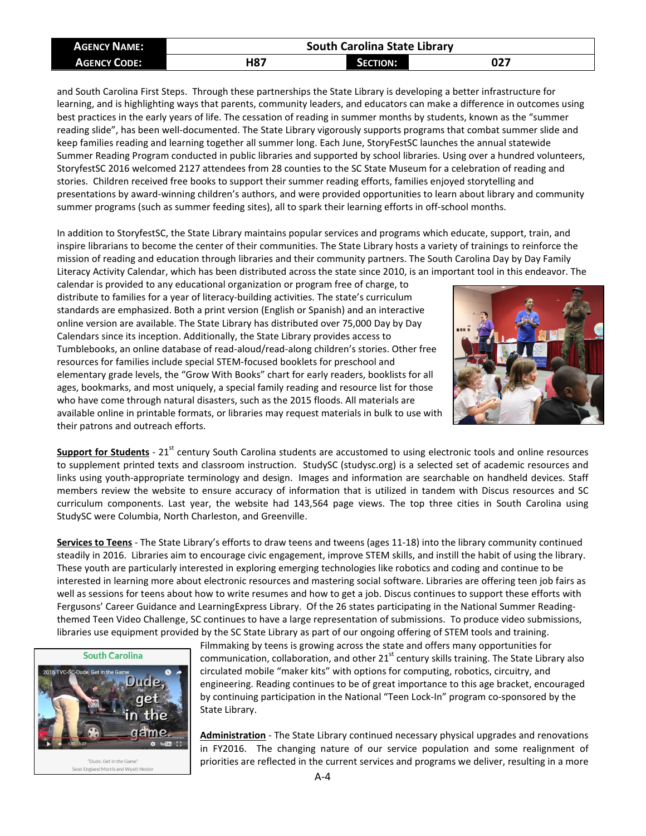| <b>AGENCY NAME:</b> | <b>South Carolina State Library</b> |                 |     |  |  |  |  |  |
|---------------------|-------------------------------------|-----------------|-----|--|--|--|--|--|
| <b>AGENCY CODE:</b> | H87                                 | <b>SECTION:</b> | 027 |  |  |  |  |  |

and South Carolina First Steps. Through these partnerships the State Library is developing a better infrastructure for learning, and is highlighting ways that parents, community leaders, and educators can make a difference in outcomes using best practices in the early years of life. The cessation of reading in summer months by students, known as the "summer reading slide", has been well-documented. The State Library vigorously supports programs that combat summer slide and keep families reading and learning together all summer long. Each June, StoryFestSC launches the annual statewide Summer Reading Program conducted in public libraries and supported by school libraries. Using over a hundred volunteers, StoryfestSC 2016 welcomed 2127 attendees from 28 counties to the SC State Museum for a celebration of reading and stories. Children received free books to support their summer reading efforts, families enjoyed storytelling and presentations by award-winning children's authors, and were provided opportunities to learn about library and community summer programs (such as summer feeding sites), all to spark their learning efforts in off-school months.

In addition to StoryfestSC, the State Library maintains popular services and programs which educate, support, train, and inspire librarians to become the center of their communities. The State Library hosts a variety of trainings to reinforce the mission of reading and education through libraries and their community partners. The South Carolina Day by Day Family Literacy Activity Calendar, which has been distributed across the state since 2010, is an important tool in this endeavor. The

calendar is provided to any educational organization or program free of charge, to distribute to families for a year of literacy-building activities. The state's curriculum standards are emphasized. Both a print version (English or Spanish) and an interactive online version are available. The State Library has distributed over 75,000 Day by Day Calendars since its inception. Additionally, the State Library provides access to Tumblebooks, an online database of read-aloud/read-along children's stories. Other free resources for families include special STEM-focused booklets for preschool and elementary grade levels, the "Grow With Books" chart for early readers, booklists for all ages, bookmarks, and most uniquely, a special family reading and resource list for those who have come through natural disasters, such as the 2015 floods. All materials are available online in printable formats, or libraries may request materials in bulk to use with their patrons and outreach efforts.



**Support for Students** - 21<sup>st</sup> century South Carolina students are accustomed to using electronic tools and online resources to supplement printed texts and classroom instruction. StudySC (studysc.org) is a selected set of academic resources and links using youth-appropriate terminology and design. Images and information are searchable on handheld devices. Staff members review the website to ensure accuracy of information that is utilized in tandem with Discus resources and SC curriculum components. Last year, the website had 143,564 page views. The top three cities in South Carolina using StudySC were Columbia, North Charleston, and Greenville.

**Services to Teens** - The State Library's efforts to draw teens and tweens (ages 11-18) into the library community continued steadily in 2016. Libraries aim to encourage civic engagement, improve STEM skills, and instill the habit of using the library. These youth are particularly interested in exploring emerging technologies like robotics and coding and continue to be interested in learning more about electronic resources and mastering social software. Libraries are offering teen job fairs as well as sessions for teens about how to write resumes and how to get a job. Discus continues to support these efforts with Fergusons' Career Guidance and LearningExpress Library. Of the 26 states participating in the National Summer Readingthemed Teen Video Challenge, SC continues to have a large representation of submissions. To produce video submissions, libraries use equipment provided by the SC State Library as part of our ongoing offering of STEM tools and training.



Sean England Morris and Wyatt Hest

Filmmaking by teens is growing across the state and offers many opportunities for communication, collaboration, and other  $21<sup>st</sup>$  century skills training. The State Library also circulated mobile "maker kits" with options for computing, robotics, circuitry, and engineering. Reading continues to be of great importance to this age bracket, encouraged by continuing participation in the National "Teen Lock-In" program co-sponsored by the State Library.

**Administration** - The State Library continued necessary physical upgrades and renovations in FY2016. The changing nature of our service population and some realignment of priorities are reflected in the current services and programs we deliver, resulting in a more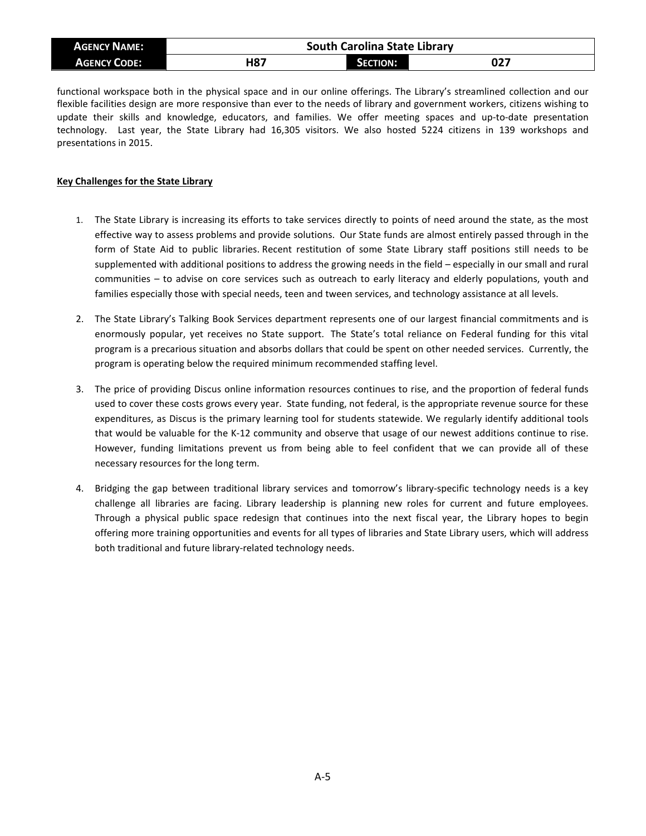| <b>AGENCY NAME:</b> | <b>South Carolina State Library</b> |          |     |  |  |  |  |  |
|---------------------|-------------------------------------|----------|-----|--|--|--|--|--|
| <b>AGENCY CODE:</b> | H87                                 | SECTION: | 027 |  |  |  |  |  |

functional workspace both in the physical space and in our online offerings. The Library's streamlined collection and our flexible facilities design are more responsive than ever to the needs of library and government workers, citizens wishing to update their skills and knowledge, educators, and families. We offer meeting spaces and up-to-date presentation technology. Last year, the State Library had 16,305 visitors. We also hosted 5224 citizens in 139 workshops and presentations in 2015.

## **Key Challenges for the State Library**

- 1. The State Library is increasing its efforts to take services directly to points of need around the state, as the most effective way to assess problems and provide solutions. Our State funds are almost entirely passed through in the form of State Aid to public libraries. Recent restitution of some State Library staff positions still needs to be supplemented with additional positions to address the growing needs in the field – especially in our small and rural communities – to advise on core services such as outreach to early literacy and elderly populations, youth and families especially those with special needs, teen and tween services, and technology assistance at all levels.
- 2. The State Library's Talking Book Services department represents one of our largest financial commitments and is enormously popular, yet receives no State support. The State's total reliance on Federal funding for this vital program is a precarious situation and absorbs dollars that could be spent on other needed services. Currently, the program is operating below the required minimum recommended staffing level.
- 3. The price of providing Discus online information resources continues to rise, and the proportion of federal funds used to cover these costs grows every year. State funding, not federal, is the appropriate revenue source for these expenditures, as Discus is the primary learning tool for students statewide. We regularly identify additional tools that would be valuable for the K-12 community and observe that usage of our newest additions continue to rise. However, funding limitations prevent us from being able to feel confident that we can provide all of these necessary resources for the long term.
- 4. Bridging the gap between traditional library services and tomorrow's library-specific technology needs is a key challenge all libraries are facing. Library leadership is planning new roles for current and future employees. Through a physical public space redesign that continues into the next fiscal year, the Library hopes to begin offering more training opportunities and events for all types of libraries and State Library users, which will address both traditional and future library-related technology needs.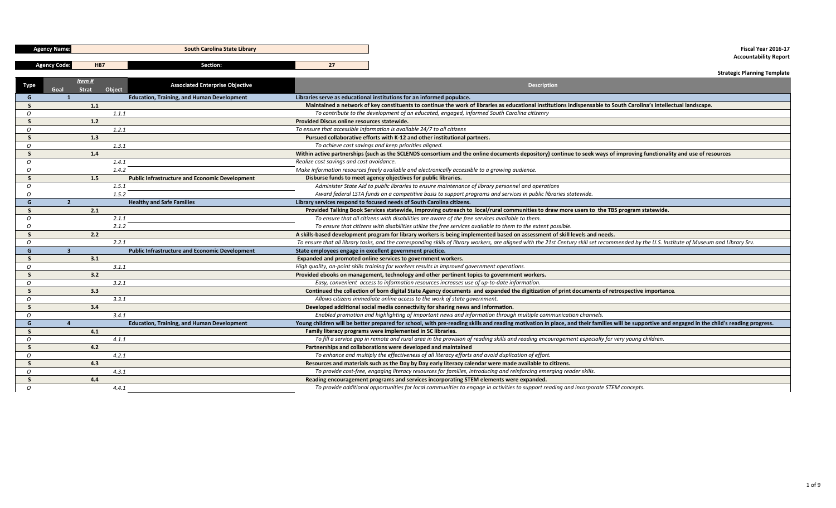|                | <b>Agency Name:</b> |              | <b>South Carolina State Library</b>                   |                                             | Fiscal Year 2016-17                                                                                                                                                                            |
|----------------|---------------------|--------------|-------------------------------------------------------|---------------------------------------------|------------------------------------------------------------------------------------------------------------------------------------------------------------------------------------------------|
|                |                     | <b>H87</b>   | Section:                                              | 27                                          | <b>Accountability Report</b>                                                                                                                                                                   |
|                | <b>Agency Code:</b> |              |                                                       |                                             | <b>Strategic Planning Template</b>                                                                                                                                                             |
|                |                     | Item#        |                                                       |                                             |                                                                                                                                                                                                |
|                | Goal                | <b>Strat</b> | <b>Associated Enterprise Objective</b><br>Object      |                                             | <b>Description</b>                                                                                                                                                                             |
| G              | $\mathbf{1}$        |              | <b>Education, Training, and Human Development</b>     |                                             | Libraries serve as educational institutions for an informed populace.                                                                                                                          |
| S.             |                     | 1.1          |                                                       |                                             | Maintained a network of key constituents to continue the work of libraries as educational institutions indispensable to South Carolina's intellectual landscape.                               |
| $\mathcal{O}$  |                     |              | 1.1.1                                                 |                                             | To contribute to the development of an educated, engaged, informed South Carolina citizenry                                                                                                    |
| <b>S</b>       |                     | 1.2          |                                                       | Provided Discus online resources statewide. |                                                                                                                                                                                                |
| $\mathcal O$   |                     |              | 1.2.1                                                 |                                             | To ensure that accessible information is available 24/7 to all citizens                                                                                                                        |
| -S             |                     | 1.3          |                                                       |                                             | Pursued collaborative efforts with K-12 and other institutional partners.                                                                                                                      |
| $\Omega$       |                     |              | 1.3.1                                                 |                                             | To achieve cost savings and keep priorities aligned.                                                                                                                                           |
| - S            |                     | 1.4          |                                                       |                                             | Within active partnerships (such as the SCLENDS consortium and the online documents depository) continue to seek ways of improving functionality and use of resources                          |
| $\overline{O}$ |                     |              | 1.4.1                                                 | Realize cost savings and cost avoidance.    |                                                                                                                                                                                                |
| $\overline{O}$ |                     |              | 1.4.2                                                 |                                             | Make information resources freely available and electronically accessible to a growing audience.                                                                                               |
| -S             |                     | 1.5          | <b>Public Infrastructure and Economic Development</b> |                                             | Disburse funds to meet agency objectives for public libraries.                                                                                                                                 |
| $\mathcal{O}$  |                     |              | 1.5.1                                                 |                                             | Administer State Aid to public libraries to ensure maintenance of library personnel and operations                                                                                             |
| $\overline{O}$ |                     |              | 1.5.2                                                 |                                             | Award federal LSTA funds on a competitive basis to support programs and services in public libraries statewide.                                                                                |
| G              | $\overline{2}$      |              | <b>Healthy and Safe Families</b>                      |                                             | Library services respond to focused needs of South Carolina citizens.                                                                                                                          |
| -S             |                     | 2.1          |                                                       |                                             | Provided Talking Book Services statewide, improving outreach to local/rural communities to draw more users to the TBS program statewide.                                                       |
| $\Omega$       |                     |              | 2.1.1                                                 |                                             | To ensure that all citizens with disabilities are aware of the free services available to them.                                                                                                |
| O              |                     |              | 2.1.2                                                 |                                             | To ensure that citizens with disabilities utilize the free services available to them to the extent possible.                                                                                  |
| -S             |                     | 2.2          |                                                       |                                             | A skills-based development program for library workers is being implemented based on assessment of skill levels and needs.                                                                     |
| $\Omega$       |                     |              | 2.2.1                                                 |                                             | To ensure that all library tasks, and the corresponding skills of library workers, are aligned with the 21st Century skill set recommended by the U.S. Institute of Museum and Library Srv.    |
| G              | $\mathbf{3}$        |              | <b>Public Infrastructure and Economic Development</b> |                                             | State employees engage in excellent government practice.                                                                                                                                       |
| - S            |                     | 3.1          |                                                       |                                             | Expanded and promoted online services to government workers.                                                                                                                                   |
| $\overline{O}$ |                     |              | 3.1.1                                                 |                                             | High quality, on-point skills training for workers results in improved government operations.                                                                                                  |
| <b>S</b>       |                     | 3.2          |                                                       |                                             | Provided ebooks on management, technology and other pertinent topics to government workers.                                                                                                    |
| $\mathcal O$   |                     |              | 3.2.1                                                 |                                             | Easy, convenient access to information resources increases use of up-to-date information.                                                                                                      |
| <b>S</b>       |                     | 3.3          |                                                       |                                             | Continued the collection of born digital State Agency documents and expanded the digitization of print documents of retrospective importance.                                                  |
| $\mathcal{O}$  |                     |              | 3.3.1                                                 |                                             | Allows citizens immediate online access to the work of state government.                                                                                                                       |
| <b>S</b>       |                     | 3.4          |                                                       |                                             | Developed additional social media connectivity for sharing news and information.                                                                                                               |
| 0              |                     |              | 3.4.1                                                 |                                             | Enabled promotion and highlighting of important news and information through multiple communication channels.                                                                                  |
| G              | $\overline{a}$      |              | <b>Education, Training, and Human Development</b>     |                                             | Young children will be better prepared for school, with pre-reading skills and reading motivation in place, and their families will be supportive and engaged in the child's reading progress. |
| -S             |                     | 4.1          |                                                       |                                             | Family literacy programs were implemented in SC libraries.                                                                                                                                     |
| $\overline{O}$ |                     |              | 4.1.1                                                 |                                             | To fill a service gap in remote and rural area in the provision of reading skills and reading encouragement especially for very young children.                                                |
| <b>S</b>       |                     | 4.2          |                                                       |                                             | Partnerships and collaborations were developed and maintained                                                                                                                                  |
| $\overline{O}$ |                     |              | 4.2.1                                                 |                                             | To enhance and multiply the effectiveness of all literacy efforts and avoid duplication of effort.                                                                                             |
| <b>S</b>       |                     | 4.3          |                                                       |                                             | Resources and materials such as the Day by Day early literacy calendar were made available to citizens.                                                                                        |
| $\mathcal{O}$  |                     |              | 4.3.1                                                 |                                             | To provide cost-free, engaging literacy resources for families, introducing and reinforcing emerging reader skills.                                                                            |
| - 5            |                     | 4.4          |                                                       |                                             | Reading encouragement programs and services incorporating STEM elements were expanded.                                                                                                         |
| $\mathcal{O}$  |                     |              | 4.4.1                                                 |                                             | To provide additional opportunities for local communities to engage in activities to support reading and incorporate STEM concepts.                                                            |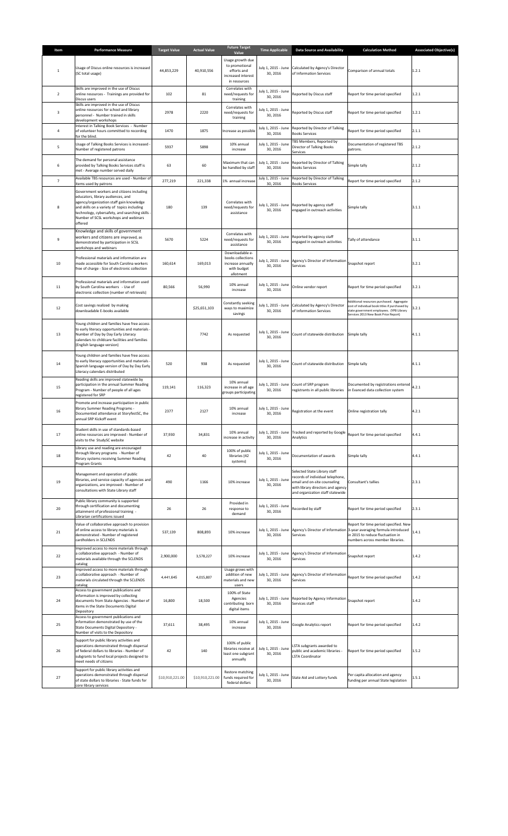| Item           | <b>Performance Measure</b>                                                                                                                                                                                                                                                     | <b>Target Value</b> | <b>Actual Value</b> | <b>Future Target</b>                                                                    | <b>Time Applicable</b>          | <b>Data Source and Availability</b>                                                                                                                                       | <b>Calculation Method</b>                                                                                                                                                             | <b>Associated Objective(s)</b> |
|----------------|--------------------------------------------------------------------------------------------------------------------------------------------------------------------------------------------------------------------------------------------------------------------------------|---------------------|---------------------|-----------------------------------------------------------------------------------------|---------------------------------|---------------------------------------------------------------------------------------------------------------------------------------------------------------------------|---------------------------------------------------------------------------------------------------------------------------------------------------------------------------------------|--------------------------------|
|                |                                                                                                                                                                                                                                                                                |                     |                     | Value                                                                                   |                                 |                                                                                                                                                                           |                                                                                                                                                                                       |                                |
| $\mathbf{1}$   | Usage of Discus online resources is increased<br>(SC total usage)                                                                                                                                                                                                              | 44,853,229          | 40,910,556          | Usage growth due<br>to promotional<br>efforts and<br>increased interest<br>in resources | 30, 2016                        | July 1, 2015 - June Calculated by Agency's Director<br>of Information Services                                                                                            | Comparison of annual totals                                                                                                                                                           | 1.2.1                          |
| $\overline{2}$ | Skills are improved in the use of Discus<br>online resources - Trainings are provided for<br>Discus users                                                                                                                                                                      | 102                 | 81                  | Correlates with<br>need/requests for<br>training                                        | July 1, 2015 - June<br>30.2016  | Reported by Discus staff                                                                                                                                                  | Report for time period specified                                                                                                                                                      | 1.2.1                          |
| 3              | Skills are improved in the use of Discus<br>online resources for school and library<br>personnel - Number trained in skills<br>development workshops                                                                                                                           | 2978                | 2220                | Correlates with<br>need/requests for<br>training                                        | July 1, 2015 - June<br>30, 2016 | Reported by Discus staff                                                                                                                                                  | Report for time period specified                                                                                                                                                      | 1.2.1                          |
| 4              | Interest in Talking Book Services - Number<br>of volunteer hours committed to recording<br>for the blind.                                                                                                                                                                      | 1470                | 1875                | Increase as possible                                                                    | July 1, 2015 - June<br>30, 2016 | Reported by Director of Talking<br><b>Books Services</b>                                                                                                                  | Report for time period specified                                                                                                                                                      | 2.1.1                          |
| 5              | Usage of Talking Books Services is increased -<br>Number of registered patrons                                                                                                                                                                                                 | 5937                | 5898                | 10% annual<br>increase                                                                  | July 1, 2015 - June<br>30, 2016 | TBS Members, Reported by<br>Director of Talking Books<br>Services                                                                                                         | Documentation of registered TBS<br>patrons.                                                                                                                                           | 2.1.2                          |
| 6              | The demand for personal assistance<br>provided by Talking Books Services staff is<br>met - Average number served daily                                                                                                                                                         | 63                  | 60                  | Maximum that can<br>be handled by staff                                                 | July 1, 2015 - June<br>30, 2016 | Reported by Director of Talking<br><b>Books Services</b>                                                                                                                  | Simple tally                                                                                                                                                                          | 2.1.2                          |
| $\overline{7}$ | Available TBS resources are used - Number of<br>items used by patrons                                                                                                                                                                                                          | 277,219             | 221,338             | 1% annual increase                                                                      | July 1, 2015 - June<br>30, 2016 | Reported by Director of Talking<br><b>Books Services</b>                                                                                                                  | Report for time period specified                                                                                                                                                      | 2.1.2                          |
| 8              | Government workers and citizens including<br>educators, library audiences, and<br>agency/organization staff gain knowledge<br>and skills on a variety of topics including<br>technology, cybersafety, and searching skills<br>Number of SCSL workshops and webinars<br>offered | 180                 | 139                 | Correlates with<br>need/requests for<br>assistance                                      | July 1, 2015 - June<br>30, 2016 | Reported by agency staff<br>engaged in outreach activities                                                                                                                | Simple tally                                                                                                                                                                          | 3.1.1                          |
| 9              | Knowledge and skills of government<br>workers and citizens are improved, as<br>demonstrated by participation in SCSL<br>workshops and webinars                                                                                                                                 | 5670                | 5224                | Correlates with<br>need/requests for<br>assistance                                      | July 1, 2015 - June<br>30, 2016 | Reported by agency staff<br>engaged in outreach activities                                                                                                                | Tally of attendance                                                                                                                                                                   | 3.1.1                          |
| 10             | Professional materials and information are<br>made accessible for South Carolina workers<br>free of charge - Size of electronic collection                                                                                                                                     | 160,614             | 169,013             | Downloadable e-<br>books collections<br>increase annually<br>with budget<br>allotment   | July 1, 2015 - June<br>30.2016  | Agency's Director of Information Snapshot report<br>Services                                                                                                              |                                                                                                                                                                                       | 3.2.1                          |
| 11             | Professional materials and information used<br>by South Carolina workers - Use of<br>electronic collection (number of retrievals)                                                                                                                                              | 80,566              | 56,990              | 10% annual<br>increase                                                                  | July 1, 2015 - June<br>30, 2016 | Online vendor report                                                                                                                                                      | Report for time period specified                                                                                                                                                      | 3.2.1                          |
| 12             | Cost savings realized by making<br>downloadable E-books available                                                                                                                                                                                                              |                     | \$25,651,103        | Constantly seeking<br>ways to maximize<br>savings                                       | July 1, 2015 - June<br>30, 2016 | Calculated by Agency's Director<br>of Information Services                                                                                                                | Additional resources purchased. Aggregate<br>cost of individual book titles if purchased by<br>state government employees. (YPB Library<br>Services 2013 New Book Price Report)       | 3.2.1                          |
| 13             | Young children and families have free access<br>to early literacy opportunities and materials -<br>Number of Day by Day Early Literacy<br>calendars to childcare facilities and families<br>(English language version)                                                         |                     | 7742                | As requested                                                                            | July 1, 2015 - June<br>30, 2016 | Count of statewide distribution                                                                                                                                           | Simple tally                                                                                                                                                                          | 4.1.1                          |
| 14             | Young children and families have free access<br>to early literacy opportunities and materials -<br>Spanish language version of Day by Day Early<br>Literacy calendars distributed                                                                                              | 520                 | 938                 | As requested                                                                            | July 1, 2015 - June<br>30, 2016 | Count of statewide distribution                                                                                                                                           | Simple tally                                                                                                                                                                          | 4.1.1                          |
| 15             | Reading skills are improved statewide by<br>participation in the annual Summer Reading<br>Program - Number of people of all ages<br>registered for SRP                                                                                                                         | 119,141             | 116,323             | 10% annual<br>increase in all age<br>groups participating                               | July 1, 2015 - June<br>30, 2016 | Count of SRP program<br>registrants in all public libraries                                                                                                               | Documented by registrations entered<br>in Evanced data collection system                                                                                                              | 4.2.1                          |
| 16             | Promote and increase participation in public<br>library Summer Reading Programs -<br>Documented attendance at StoryfestSC, the<br>annual SRP Kickoff event                                                                                                                     | 2377                | 2127                | 10% annual<br>increase                                                                  | July 1, 2015 - June<br>30, 2016 | Registration at the event                                                                                                                                                 | Online registration tally                                                                                                                                                             | 4.2.1                          |
| 17             | Student skills in use of standards-based<br>online resources are improved - Number of<br>visits to the StudySC website                                                                                                                                                         | 37,930              | 34,831              | 10% annual<br>increase in activity                                                      | July 1, 2015 - June<br>30, 2016 | Tracked and reported by Google<br>Analytics                                                                                                                               | Report for time period specified                                                                                                                                                      | 4.4.1                          |
| 18             | Library use and reading are encouraged<br>through library programs - Number of<br>library systems receiving Summer Reading<br>Program Grants                                                                                                                                   | 42                  | 40                  | 100% of public<br>libraries (42<br>systems)                                             | July 1, 2015 - June<br>30, 2016 | Documentation of awards                                                                                                                                                   | Simple tally                                                                                                                                                                          | 4.4.1                          |
| 19             | Management and operation of public<br>libraries, and service capacity of agencies and<br>organizations, are improved - Number of<br>consultations with State Library staff                                                                                                     | 490                 | 1166                | 10% increase                                                                            | July 1, 2015 - June<br>30, 2016 | Selected State Library staff<br>records of individual telephone,<br>email and on-site counseling<br>with library directors and agency<br>and organization staff statewide | Consultant's tallies                                                                                                                                                                  | 2.3.1                          |
| 20             | Public library community is supported<br>through certification and documenting<br>attainment of professional training -<br>Librarian certifications issued                                                                                                                     | 26                  | 26                  | Provided in<br>response to<br>demand                                                    | July 1, 2015 - June<br>30, 2016 | Recorded by staff                                                                                                                                                         | Report for time period specified                                                                                                                                                      | 2.3.1                          |
| 21             | Value of collaborative approach to provision<br>of online access to library materials is<br>demonstrated - Number of registered<br>cardholders in SCLENDS                                                                                                                      | 537,139             | 808,893             | 10% increase                                                                            | July 1, 2015 - June<br>30, 2016 | Services                                                                                                                                                                  | Report for time period specified. New<br>Agency's Director of Information 3-year averaging formula introduced<br>in 2015 to reduce fluctuation in<br>numbers across member libraries. | 1.4.1                          |
| 22             | Improved access to more materials through<br>a collaborative approach - Number of<br>materials available through the SCLENDS<br>catalog                                                                                                                                        | 2,900,000           | 3,578,227           | 10% increase                                                                            | July 1, 2015 - June<br>30, 2016 | Agency's Director of Information Snapshot report<br>Services                                                                                                              |                                                                                                                                                                                       | 1.4.2                          |
| 23             | Improved access to more materials through<br>a collaborative approach - Number of<br>materials circulated through the SCLENDS<br>catalog                                                                                                                                       | 4,441,645           | 4,015,807           | Usage grows with<br>addition of new<br>materials and new<br>users                       | July 1, 2015 - June<br>30, 2016 | Agency's Director of Information Report for time period specified<br>Services                                                                                             |                                                                                                                                                                                       | 1.4.2                          |
| 24             | Access to government publications and<br>information is improved by collecting<br>documents from State Agencies - Number of<br>items in the State Documents Digital<br>Depository                                                                                              | 16,800              | 18,500              | 100% of State<br>Agencies<br>contributing born<br>digital items                         | July 1, 2015 - June<br>30, 2016 | Reported by Agency Information Snapshot report<br>Services staff                                                                                                          |                                                                                                                                                                                       | 1.4.2                          |
| 25             | Access to government publications and<br>information demonstrated by use of the<br>State Documents Digital Depository -<br>Number of visits to the Depository                                                                                                                  | 37,611              | 38,495              | 10% annual<br>increase                                                                  | July 1, 2015 - June<br>30, 2016 | Google Analytics report                                                                                                                                                   | Report for time period specified                                                                                                                                                      | 1.4.2                          |
| 26             | Support for public library activities and<br>operations demonstrated through dispersal<br>of federal dollars to libraries - Number of<br>subgrants to fund local projects designed to<br>meet needs of citizens                                                                | 42                  | 140                 | 100% of public<br>libraries receive at<br>least one subgrant<br>annually                | July 1, 2015 - June<br>30, 2016 | LSTA subgrants awarded to<br>public and academic libraries -<br><b>LSTA Coordinator</b>                                                                                   | Report for time period specified                                                                                                                                                      | 1.5.2                          |
| 27             | Support for public library activities and<br>operations demonstrated through dispersal<br>of state dollars to libraries - State funds for<br>core library services                                                                                                             | \$10,910,221.00     | \$10,910,221.00     | Restore matching<br>funds required for<br>federal dollars                               | July 1, 2015 - June<br>30, 2016 | State Aid and Lottery funds                                                                                                                                               | Per capita allocation and agency<br>funding per annual State legislation                                                                                                              | 1.5.1                          |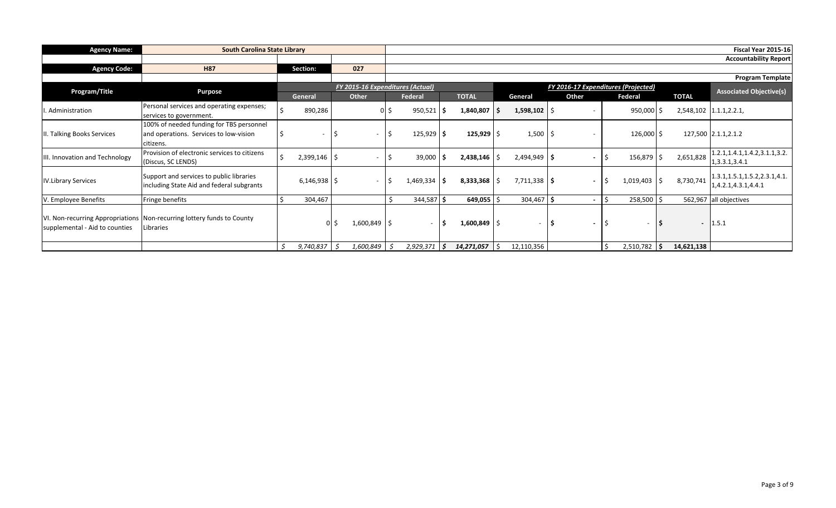| <b>Agency Name:</b>            | <b>South Carolina State Library</b>                                                             |                  |                                  |    |                |     |                           |                          |                                     |            |          |                          | Fiscal Year 2015-16                                     |
|--------------------------------|-------------------------------------------------------------------------------------------------|------------------|----------------------------------|----|----------------|-----|---------------------------|--------------------------|-------------------------------------|------------|----------|--------------------------|---------------------------------------------------------|
|                                |                                                                                                 |                  |                                  |    |                |     |                           |                          |                                     |            |          |                          | <b>Accountability Report</b>                            |
| <b>Agency Code:</b>            | <b>H87</b>                                                                                      | Section:         | 027                              |    |                |     |                           |                          |                                     |            |          |                          |                                                         |
|                                |                                                                                                 |                  |                                  |    |                |     |                           |                          |                                     |            |          |                          | <b>Program Template</b>                                 |
| Program/Title                  | <b>Purpose</b>                                                                                  |                  | FY 2015-16 Expenditures (Actual) |    |                |     |                           |                          | FY 2016-17 Expenditures (Projected) |            |          |                          | <b>Associated Objective(s)</b>                          |
|                                |                                                                                                 | General          | Other                            |    | Federal        |     | <b>TOTAL</b>              | General                  | Other                               | Federal    |          | <b>TOTAL</b>             |                                                         |
| Administration                 | Personal services and operating expenses;<br>services to government.                            | 890,286          |                                  | .S | 950,521        |     | $1,840,807$ \$            | $1,598,102$ \$           |                                     | 950,000    |          |                          | 2,548,102 1.1.1,2.2.1,                                  |
| II. Talking Books Services     | 100% of needed funding for TBS personnel<br>and operations. Services to low-vision<br>citizens. | ۰                | $\sim$                           | Ŝ  | 125,929        |     | $125,929$ \$              | $1,500$   \$             |                                     | 126,000 \$ |          |                          | 127,500 2.1.1,2.1.2                                     |
| III. Innovation and Technology | Provision of electronic services to citizens<br>(Discus, SC LENDS)                              | 2,399,146        | $\sim$                           | S  | 39,000         |     | $2,438,146$ \$            | $2,494,949$ \$           |                                     | 156,879    |          | 2,651,828                | 1.2.1, 1.4.1, 1.4.2, 3.1.1, 3.2.<br>1,3.3.1,3.4.1       |
| <b>IV.Library Services</b>     | Support and services to public libraries<br>including State Aid and federal subgrants           | $6,146,938$   \$ | $\sim$                           | .S | 1,469,334      |     | $8,333,368$ $\frac{1}{5}$ | $7,711,338$ \$           | $\overline{\phantom{a}}$            | 1,019,403  | Ŝ.       | 8,730,741                | 1.3.1, 1.5.1, 1.5.2, 2.3.1, 4.1.<br>1,4.2.1,4.3.1,4.4.1 |
| V. Employee Benefits           | Fringe benefits                                                                                 | 304,467          |                                  |    | 344,587        |     | 649,055                   | 304,467                  | $\overline{\phantom{a}}$            | 258,500    |          |                          | 562,967 all objectives                                  |
| supplemental - Aid to counties | VI. Non-recurring Appropriations   Non-recurring lottery funds to County<br>Libraries           | 0 <sup>1</sup>   | $1,600,849$ \$                   |    | $\sim$ 10 $\,$ |     | $1,600,849$ \$            | $\overline{\phantom{a}}$ | $\blacksquare$                      | $\sim$     | <b>S</b> | $\overline{\phantom{a}}$ | 1.5.1                                                   |
|                                |                                                                                                 | 9,740,837<br>د.  | 1,600,849                        | د. | 2,929,371      | \$. | $14,271,057$ \ \$         | 12,110,356               |                                     | 2,510,782  | -S       | 14,621,138               |                                                         |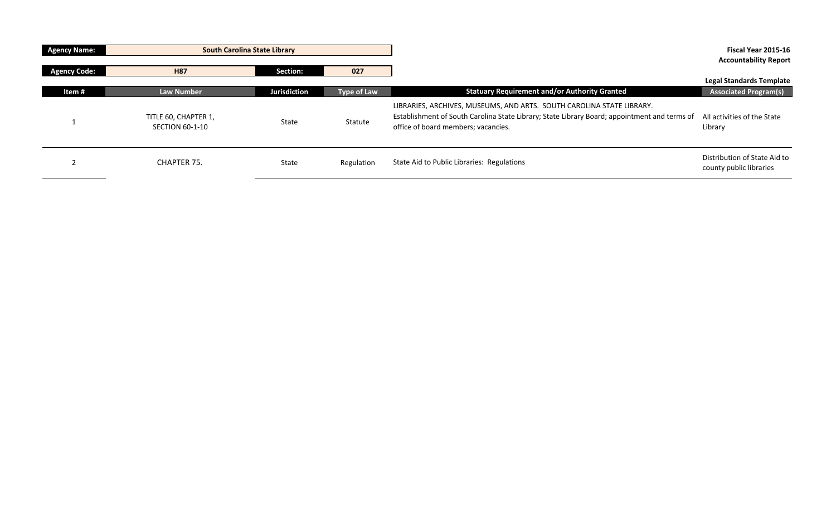| <b>Agency Name:</b> | <b>South Carolina State Library</b>            |                     |             |                                                                                                                                                                                                              | Fiscal Year 2015-16                                             |
|---------------------|------------------------------------------------|---------------------|-------------|--------------------------------------------------------------------------------------------------------------------------------------------------------------------------------------------------------------|-----------------------------------------------------------------|
| <b>Agency Code:</b> | <b>H87</b>                                     | Section:            | 027         |                                                                                                                                                                                                              | <b>Accountability Report</b>                                    |
| Item#               | <b>Law Number</b>                              | <b>Jurisdiction</b> | Type of Law | <b>Statuary Requirement and/or Authority Granted</b>                                                                                                                                                         | <b>Legal Standards Template</b><br><b>Associated Program(s)</b> |
|                     | TITLE 60, CHAPTER 1,<br><b>SECTION 60-1-10</b> | State               | Statute     | LIBRARIES, ARCHIVES, MUSEUMS, AND ARTS. SOUTH CAROLINA STATE LIBRARY.<br>Establishment of South Carolina State Library; State Library Board; appointment and terms of<br>office of board members; vacancies. | All activities of the State<br>Library                          |
|                     | CHAPTER 75.                                    | State               | Regulation  | State Aid to Public Libraries: Regulations                                                                                                                                                                   | Distribution of State Aid to<br>county public libraries         |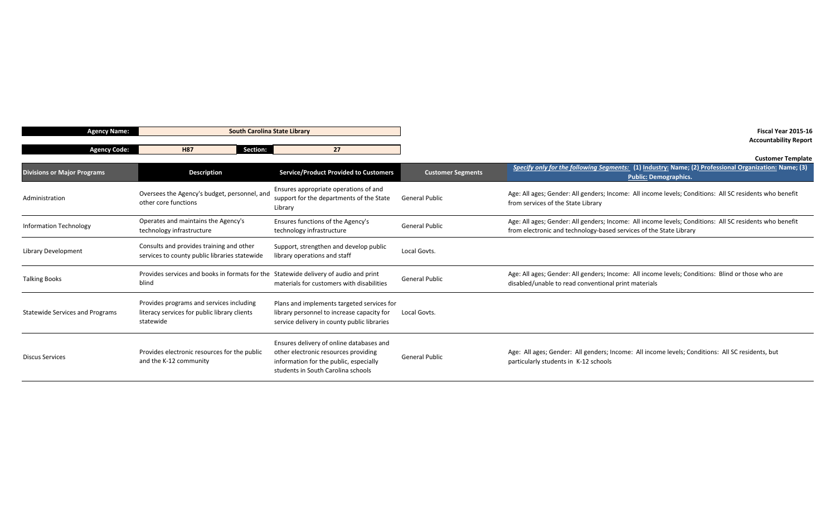| <b>Agency Name:</b>                    | <b>South Carolina State Library</b>                                                                   |                                                                                                                                                                  | Fiscal Year 2015-16<br><b>Accountability Report</b> |                                                                                                                                                                               |  |
|----------------------------------------|-------------------------------------------------------------------------------------------------------|------------------------------------------------------------------------------------------------------------------------------------------------------------------|-----------------------------------------------------|-------------------------------------------------------------------------------------------------------------------------------------------------------------------------------|--|
| <b>Agency Code:</b>                    | <b>H87</b><br>Section:                                                                                | 27                                                                                                                                                               |                                                     |                                                                                                                                                                               |  |
|                                        |                                                                                                       |                                                                                                                                                                  |                                                     | <b>Customer Template</b>                                                                                                                                                      |  |
| <b>Divisions or Major Programs</b>     | <b>Description</b>                                                                                    | <b>Service/Product Provided to Customers</b>                                                                                                                     | <b>Customer Segments</b>                            | Specify only for the following Segments: (1) Industry: Name; (2) Professional Organization: Name; (3)<br><b>Public: Demographics.</b>                                         |  |
| Administration                         | Oversees the Agency's budget, personnel, and<br>other core functions                                  | Ensures appropriate operations of and<br>support for the departments of the State<br>Library                                                                     | <b>General Public</b>                               | Age: All ages; Gender: All genders; Income: All income levels; Conditions: All SC residents who benefit<br>from services of the State Library                                 |  |
| <b>Information Technology</b>          | Operates and maintains the Agency's<br>technology infrastructure                                      | Ensures functions of the Agency's<br>technology infrastructure                                                                                                   | <b>General Public</b>                               | Age: All ages; Gender: All genders; Income: All income levels; Conditions: All SC residents who benefit<br>from electronic and technology-based services of the State Library |  |
| Library Development                    | Consults and provides training and other<br>services to county public libraries statewide             | Support, strengthen and develop public<br>library operations and staff                                                                                           | Local Govts.                                        |                                                                                                                                                                               |  |
| <b>Talking Books</b>                   | Provides services and books in formats for the Statewide delivery of audio and print<br>blind         | materials for customers with disabilities                                                                                                                        | <b>General Public</b>                               | Age: All ages; Gender: All genders; Income: All income levels; Conditions: Blind or those who are<br>disabled/unable to read conventional print materials                     |  |
| <b>Statewide Services and Programs</b> | Provides programs and services including<br>literacy services for public library clients<br>statewide | Plans and implements targeted services for<br>library personnel to increase capacity for<br>service delivery in county public libraries                          | Local Govts.                                        |                                                                                                                                                                               |  |
| <b>Discus Services</b>                 | Provides electronic resources for the public<br>and the K-12 community                                | Ensures delivery of online databases and<br>other electronic resources providing<br>information for the public, especially<br>students in South Carolina schools | <b>General Public</b>                               | Age: All ages; Gender: All genders; Income: All income levels; Conditions: All SC residents, but<br>particularly students in K-12 schools                                     |  |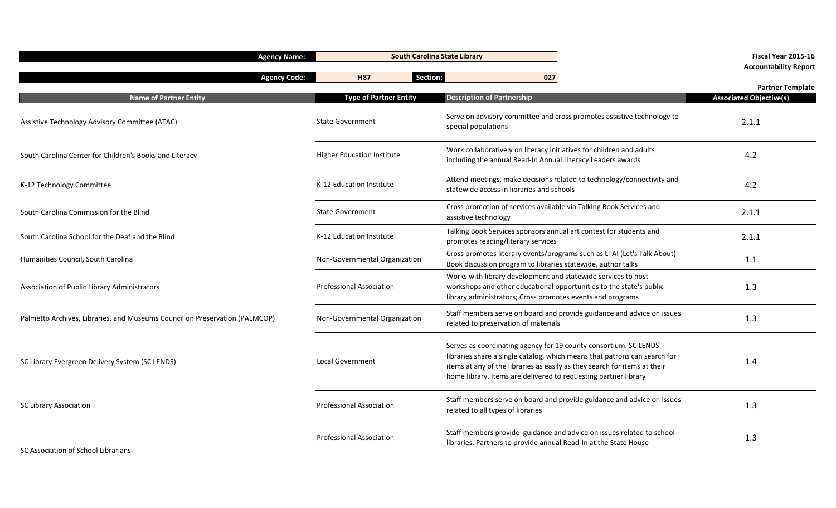| <b>Agency Name:</b>                                                         |                                   | <b>South Carolina State Library</b>                                                                                                                                                                                                                                                           | Fiscal Year 2015-16<br><b>Accountability Report</b> |
|-----------------------------------------------------------------------------|-----------------------------------|-----------------------------------------------------------------------------------------------------------------------------------------------------------------------------------------------------------------------------------------------------------------------------------------------|-----------------------------------------------------|
| <b>Agency Code:</b>                                                         | <b>H87</b>                        | Section:<br>027                                                                                                                                                                                                                                                                               | <b>Partner Template</b>                             |
| <b>Name of Partner Entity</b>                                               | <b>Type of Partner Entity</b>     | <b>Description of Partnership</b>                                                                                                                                                                                                                                                             | <b>Associated Objective(s)</b>                      |
| Assistive Technology Advisory Committee (ATAC)                              | <b>State Government</b>           | Serve on advisory committee and cross promotes assistive technology to<br>special populations                                                                                                                                                                                                 | 2.1.1                                               |
| South Carolina Center for Children's Books and Literacy                     | <b>Higher Education Institute</b> | Work collaboratively on literacy initiatives for children and adults<br>including the annual Read-In Annual Literacy Leaders awards                                                                                                                                                           | 4.2                                                 |
| K-12 Technology Committee                                                   | K-12 Education Institute          | Attend meetings, make decisions related to technology/connectivity and<br>statewide access in libraries and schools                                                                                                                                                                           | 4.2                                                 |
| South Carolina Commission for the Blind                                     | <b>State Government</b>           | Cross promotion of services available via Talking Book Services and<br>assistive technology                                                                                                                                                                                                   | 2.1.1                                               |
| South Carolina School for the Deaf and the Blind                            | K-12 Education Institute          | Talking Book Services sponsors annual art contest for students and<br>promotes reading/literary services                                                                                                                                                                                      | 2.1.1                                               |
| Humanities Council, South Carolina                                          | Non-Governmental Organization     | Cross promotes literary events/programs such as LTAI (Let's Talk About)<br>Book discussion program to libraries statewide, author talks                                                                                                                                                       | 1.1                                                 |
| Association of Public Library Administrators                                | <b>Professional Association</b>   | Works with library development and statewide services to host<br>workshops and other educational opportunities to the state's public<br>library administrators; Cross promotes events and programs                                                                                            | 1.3                                                 |
| Palmetto Archives, Libraries, and Museums Council on Preservation (PALMCOP) | Non-Governmental Organization     | Staff members serve on board and provide guidance and advice on issues<br>related to preservation of materials                                                                                                                                                                                | 1.3                                                 |
| SC Library Evergreen Delivery System (SC LENDS)                             | <b>Local Government</b>           | Serves as coordinating agency for 19 county consortium. SC LENDS<br>libraries share a single catalog, which means that patrons can search for<br>items at any of the libraries as easily as they search for items at their<br>home library. Items are delivered to requesting partner library | 1.4                                                 |
| <b>SC Library Association</b>                                               | Professional Association          | Staff members serve on board and provide guidance and advice on issues<br>related to all types of libraries                                                                                                                                                                                   | 1.3                                                 |
| SC Association of School Librarians                                         | <b>Professional Association</b>   | Staff members provide guidance and advice on issues related to school<br>libraries. Partners to provide annual Read-In at the State House                                                                                                                                                     | 1.3                                                 |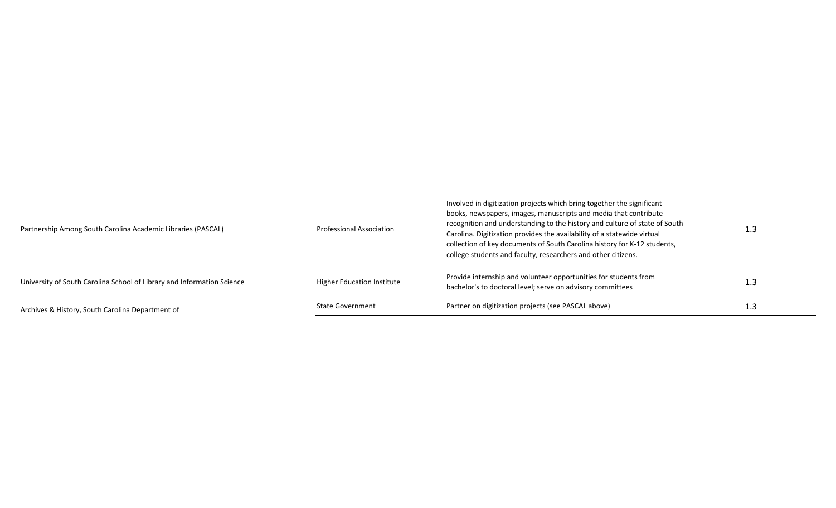| Partnership Among South Carolina Academic Libraries (PASCAL)           | <b>Professional Association</b> | Involved in digitization projects which bring together the significant<br>books, newspapers, images, manuscripts and media that contribute<br>recognition and understanding to the history and culture of state of South<br>Carolina. Digitization provides the availability of a statewide virtual<br>collection of key documents of South Carolina history for K-12 students,<br>college students and faculty, researchers and other citizens. | 1.3 |
|------------------------------------------------------------------------|---------------------------------|--------------------------------------------------------------------------------------------------------------------------------------------------------------------------------------------------------------------------------------------------------------------------------------------------------------------------------------------------------------------------------------------------------------------------------------------------|-----|
| University of South Carolina School of Library and Information Science | Higher Education Institute      | Provide internship and volunteer opportunities for students from<br>bachelor's to doctoral level; serve on advisory committees                                                                                                                                                                                                                                                                                                                   | 1.3 |
| Archives & History, South Carolina Department of                       | <b>State Government</b>         | Partner on digitization projects (see PASCAL above)                                                                                                                                                                                                                                                                                                                                                                                              | 1.3 |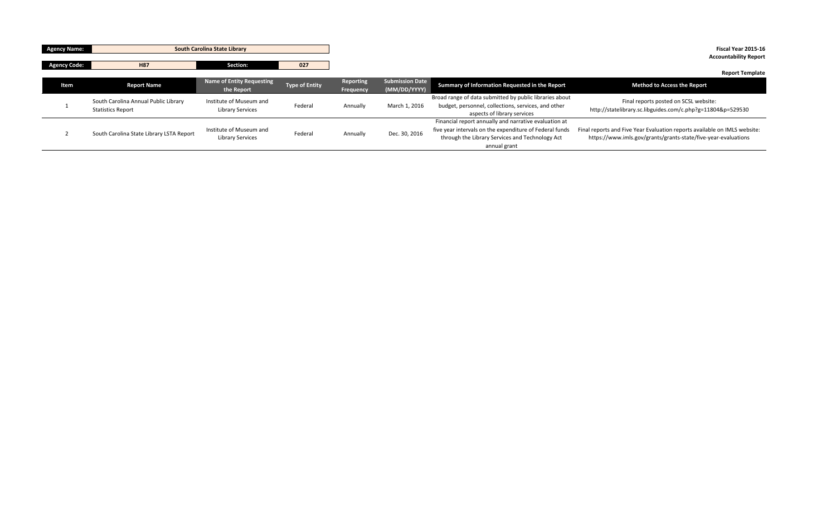| <b>Agency Name:</b> | <b>South Carolina State Library</b>                              |                                                    |                       |                        |                                        |                                                                                                                                                                                     | Fiscal Year 2015-16<br><b>Accountability Report</b>                                                                                         |
|---------------------|------------------------------------------------------------------|----------------------------------------------------|-----------------------|------------------------|----------------------------------------|-------------------------------------------------------------------------------------------------------------------------------------------------------------------------------------|---------------------------------------------------------------------------------------------------------------------------------------------|
| Agency Code:        | H87                                                              | Section:                                           | 027                   |                        |                                        |                                                                                                                                                                                     | <b>Report Template</b>                                                                                                                      |
| Item                | <b>Report Name</b>                                               | <b>Name of Entity Requesting</b><br>the Report     | <b>Type of Entity</b> | Reporting<br>Frequency | <b>Submission Date</b><br>(MM/DD/YYYY) | Summary of Information Requested in the Report                                                                                                                                      | <b>Method to Access the Report</b>                                                                                                          |
|                     | South Carolina Annual Public Library<br><b>Statistics Report</b> | Institute of Museum and<br><b>Library Services</b> | Federal               | Annually               | March 1, 2016                          | Broad range of data submitted by public libraries about<br>budget, personnel, collections, services, and other<br>aspects of library services                                       | Final reports posted on SCSL website:<br>http://statelibrary.sc.libguides.com/c.php?g=11804&p=529530                                        |
|                     | South Carolina State Library LSTA Report                         | Institute of Museum and<br><b>Library Services</b> | Federal               | Annually               | Dec. 30, 2016                          | Financial report annually and narrative evaluation at<br>five year intervals on the expenditure of Federal funds<br>through the Library Services and Technology Act<br>annual grant | Final reports and Five Year Evaluation reports available on IMLS website:<br>https://www.imls.gov/grants/grants-state/five-year-evaluations |